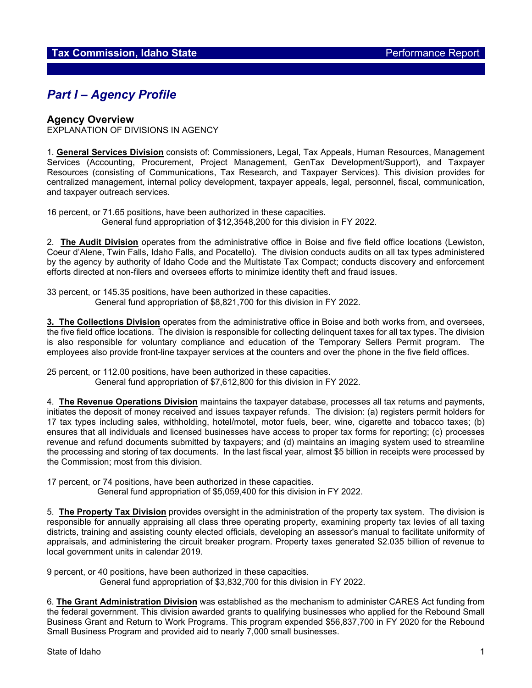# *Part I – Agency Profile*

#### **Agency Overview**

EXPLANATION OF DIVISIONS IN AGENCY

1. **General Services Division** consists of: Commissioners, Legal, Tax Appeals, Human Resources, Management Services (Accounting, Procurement, Project Management, GenTax Development/Support), and Taxpayer Resources (consisting of Communications, Tax Research, and Taxpayer Services). This division provides for centralized management, internal policy development, taxpayer appeals, legal, personnel, fiscal, communication, and taxpayer outreach services.

16 percent, or 71.65 positions, have been authorized in these capacities. General fund appropriation of \$12,3548,200 for this division in FY 2022.

2. **The Audit Division** operates from the administrative office in Boise and five field office locations (Lewiston, Coeur d'Alene, Twin Falls, Idaho Falls, and Pocatello). The division conducts audits on all tax types administered by the agency by authority of Idaho Code and the Multistate Tax Compact; conducts discovery and enforcement efforts directed at non-filers and oversees efforts to minimize identity theft and fraud issues.

33 percent, or 145.35 positions, have been authorized in these capacities. General fund appropriation of \$8,821,700 for this division in FY 2022.

**3. The Collections Division** operates from the administrative office in Boise and both works from, and oversees, the five field office locations. The division is responsible for collecting delinquent taxes for all tax types. The division is also responsible for voluntary compliance and education of the Temporary Sellers Permit program. The employees also provide front-line taxpayer services at the counters and over the phone in the five field offices.

25 percent, or 112.00 positions, have been authorized in these capacities. General fund appropriation of \$7,612,800 for this division in FY 2022.

4. **The Revenue Operations Division** maintains the taxpayer database, processes all tax returns and payments, initiates the deposit of money received and issues taxpayer refunds. The division: (a) registers permit holders for 17 tax types including sales, withholding, hotel/motel, motor fuels, beer, wine, cigarette and tobacco taxes; (b) ensures that all individuals and licensed businesses have access to proper tax forms for reporting; (c) processes revenue and refund documents submitted by taxpayers; and (d) maintains an imaging system used to streamline the processing and storing of tax documents. In the last fiscal year, almost \$5 billion in receipts were processed by the Commission; most from this division.

17 percent, or 74 positions, have been authorized in these capacities.

General fund appropriation of \$5,059,400 for this division in FY 2022.

5. **The Property Tax Division** provides oversight in the administration of the property tax system. The division is responsible for annually appraising all class three operating property, examining property tax levies of all taxing districts, training and assisting county elected officials, developing an assessor's manual to facilitate uniformity of appraisals, and administering the circuit breaker program. Property taxes generated \$2.035 billion of revenue to local government units in calendar 2019.

9 percent, or 40 positions, have been authorized in these capacities. General fund appropriation of \$3,832,700 for this division in FY 2022.

6. **The Grant Administration Division** was established as the mechanism to administer CARES Act funding from the federal government. This division awarded grants to qualifying businesses who applied for the Rebound Small Business Grant and Return to Work Programs. This program expended \$56,837,700 in FY 2020 for the Rebound Small Business Program and provided aid to nearly 7,000 small businesses.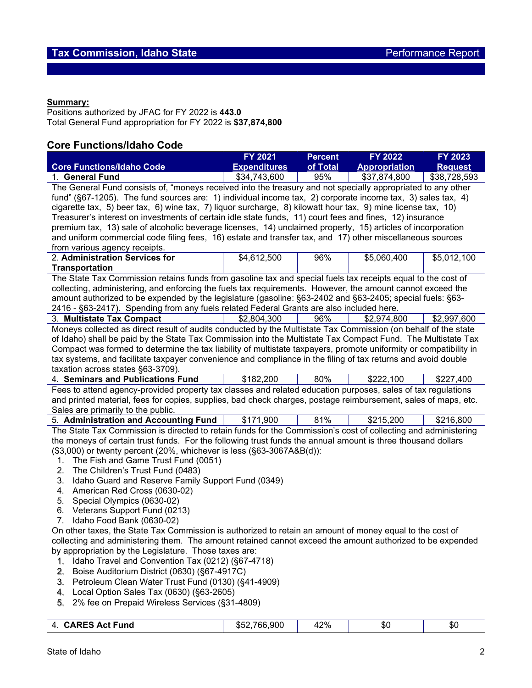#### **Summary:**

Positions authorized by JFAC for FY 2022 is **443.0** Total General Fund appropriation for FY 2022 is **\$37,874,800**

# **Core Functions/Idaho Code**

|                                                                                                                   | <b>FY 2021</b>      | <b>Percent</b> | FY 2022              | FY 2023        |  |  |  |  |  |
|-------------------------------------------------------------------------------------------------------------------|---------------------|----------------|----------------------|----------------|--|--|--|--|--|
| <b>Core Functions/Idaho Code</b>                                                                                  | <b>Expenditures</b> | of Total       | <b>Appropriation</b> | <b>Request</b> |  |  |  |  |  |
| 1. General Fund                                                                                                   | \$34,743,600        | 95%            | \$37,874,800         | \$38,728,593   |  |  |  |  |  |
| The General Fund consists of, "moneys received into the treasury and not specially appropriated to any other      |                     |                |                      |                |  |  |  |  |  |
| fund" (§67-1205). The fund sources are: 1) individual income tax, 2) corporate income tax, 3) sales tax, 4)       |                     |                |                      |                |  |  |  |  |  |
| cigarette tax, 5) beer tax, 6) wine tax, 7) liquor surcharge, 8) kilowatt hour tax, 9) mine license tax, 10)      |                     |                |                      |                |  |  |  |  |  |
| Treasurer's interest on investments of certain idle state funds, 11) court fees and fines, 12) insurance          |                     |                |                      |                |  |  |  |  |  |
| premium tax, 13) sale of alcoholic beverage licenses, 14) unclaimed property, 15) articles of incorporation       |                     |                |                      |                |  |  |  |  |  |
| and uniform commercial code filing fees, 16) estate and transfer tax, and 17) other miscellaneous sources         |                     |                |                      |                |  |  |  |  |  |
| from various agency receipts.                                                                                     |                     |                |                      |                |  |  |  |  |  |
| 2. Administration Services for                                                                                    | \$4,612,500         | 96%            | \$5,060,400          | \$5,012,100    |  |  |  |  |  |
| <b>Transportation</b>                                                                                             |                     |                |                      |                |  |  |  |  |  |
| The State Tax Commission retains funds from gasoline tax and special fuels tax receipts equal to the cost of      |                     |                |                      |                |  |  |  |  |  |
| collecting, administering, and enforcing the fuels tax requirements. However, the amount cannot exceed the        |                     |                |                      |                |  |  |  |  |  |
| amount authorized to be expended by the legislature (gasoline: §63-2402 and §63-2405; special fuels: §63-         |                     |                |                      |                |  |  |  |  |  |
| 2416 - §63-2417). Spending from any fuels related Federal Grants are also included here.                          |                     |                |                      |                |  |  |  |  |  |
| 3. Multistate Tax Compact                                                                                         | \$2,804,300         | 96%            | \$2,974,800          | \$2,997,600    |  |  |  |  |  |
| Moneys collected as direct result of audits conducted by the Multistate Tax Commission (on behalf of the state    |                     |                |                      |                |  |  |  |  |  |
| of Idaho) shall be paid by the State Tax Commission into the Multistate Tax Compact Fund. The Multistate Tax      |                     |                |                      |                |  |  |  |  |  |
| Compact was formed to determine the tax liability of multistate taxpayers, promote uniformity or compatibility in |                     |                |                      |                |  |  |  |  |  |
| tax systems, and facilitate taxpayer convenience and compliance in the filing of tax returns and avoid double     |                     |                |                      |                |  |  |  |  |  |
| taxation across states §63-3709).                                                                                 |                     |                |                      |                |  |  |  |  |  |
| 4. Seminars and Publications Fund                                                                                 | \$182,200           | 80%            | \$222,100            | \$227,400      |  |  |  |  |  |
| Fees to attend agency-provided property tax classes and related education purposes, sales of tax regulations      |                     |                |                      |                |  |  |  |  |  |
| and printed material, fees for copies, supplies, bad check charges, postage reimbursement, sales of maps, etc.    |                     |                |                      |                |  |  |  |  |  |
| Sales are primarily to the public.                                                                                |                     |                |                      |                |  |  |  |  |  |
| 5. Administration and Accounting Fund                                                                             | \$171,900           | 81%            | \$215,200            | \$216,800      |  |  |  |  |  |
| The State Tax Commission is directed to retain funds for the Commission's cost of collecting and administering    |                     |                |                      |                |  |  |  |  |  |
| the moneys of certain trust funds. For the following trust funds the annual amount is three thousand dollars      |                     |                |                      |                |  |  |  |  |  |
| (\$3,000) or twenty percent (20%, whichever is less (§63-3067A&B(d)):                                             |                     |                |                      |                |  |  |  |  |  |
| The Fish and Game Trust Fund (0051)<br>1.                                                                         |                     |                |                      |                |  |  |  |  |  |
| The Children's Trust Fund (0483)<br>2.                                                                            |                     |                |                      |                |  |  |  |  |  |
| Idaho Guard and Reserve Family Support Fund (0349)<br>3.                                                          |                     |                |                      |                |  |  |  |  |  |
| American Red Cross (0630-02)<br>4.                                                                                |                     |                |                      |                |  |  |  |  |  |
| Special Olympics (0630-02)<br>5.                                                                                  |                     |                |                      |                |  |  |  |  |  |
| Veterans Support Fund (0213)<br>6.                                                                                |                     |                |                      |                |  |  |  |  |  |
| Idaho Food Bank (0630-02)<br>7.                                                                                   |                     |                |                      |                |  |  |  |  |  |
| On other taxes, the State Tax Commission is authorized to retain an amount of money equal to the cost of          |                     |                |                      |                |  |  |  |  |  |
| collecting and administering them. The amount retained cannot exceed the amount authorized to be expended         |                     |                |                      |                |  |  |  |  |  |
| by appropriation by the Legislature. Those taxes are:                                                             |                     |                |                      |                |  |  |  |  |  |
| Idaho Travel and Convention Tax (0212) (§67-4718)<br>1.                                                           |                     |                |                      |                |  |  |  |  |  |
| Boise Auditorium District (0630) (§67-4917C)<br>2.                                                                |                     |                |                      |                |  |  |  |  |  |
| Petroleum Clean Water Trust Fund (0130) (§41-4909)<br>3.                                                          |                     |                |                      |                |  |  |  |  |  |
| Local Option Sales Tax (0630) (§63-2605)<br>4.                                                                    |                     |                |                      |                |  |  |  |  |  |
| 2% fee on Prepaid Wireless Services (§31-4809)<br>5.                                                              |                     |                |                      |                |  |  |  |  |  |
|                                                                                                                   |                     |                |                      |                |  |  |  |  |  |
| 4. CARES Act Fund                                                                                                 | \$52,766,900        | 42%            | \$0                  | \$0            |  |  |  |  |  |
|                                                                                                                   |                     |                |                      |                |  |  |  |  |  |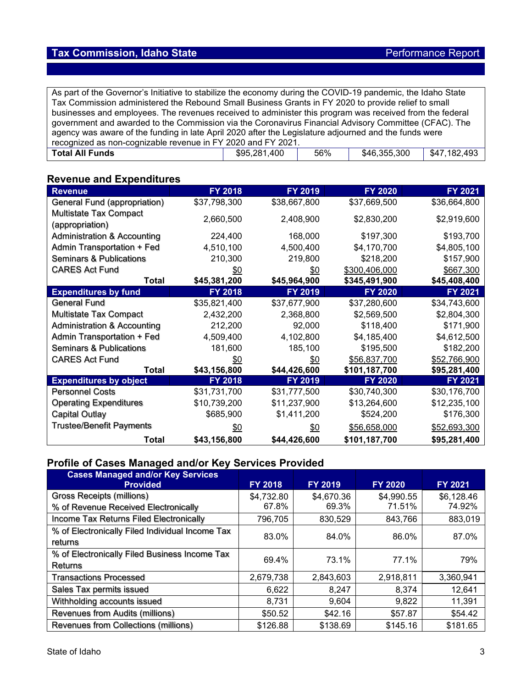As part of the Governor's Initiative to stabilize the economy during the COVID-19 pandemic, the Idaho State Tax Commission administered the Rebound Small Business Grants in FY 2020 to provide relief to small businesses and employees. The revenues received to administer this program was received from the federal government and awarded to the Commission via the Coronavirus Financial Advisory Committee (CFAC). The agency was aware of the funding in late April 2020 after the Legislature adjourned and the funds were recognized as non-cognizable revenue in FY 2020 and FY 2021.<br> **Total All Funds** \$95,281,400 **Total All Funds \$95,281,400** 56% \$46,355,300 \$47,182,493

## **Revenue and Expenditures**

| <b>Revenue</b>                         | FY 2018      | FY 2019      | <b>FY 2020</b> | FY 2021      |
|----------------------------------------|--------------|--------------|----------------|--------------|
| General Fund (appropriation)           | \$37,798,300 | \$38,667,800 | \$37,669,500   | \$36,664,800 |
| <b>Multistate Tax Compact</b>          |              |              |                |              |
| (appropriation)                        | 2,660,500    | 2,408,900    | \$2,830,200    | \$2,919,600  |
| <b>Administration &amp; Accounting</b> | 224,400      | 168,000      | \$197,300      | \$193,700    |
| Admin Transportation + Fed             | 4,510,100    | 4,500,400    | \$4,170,700    | \$4,805,100  |
| <b>Seminars &amp; Publications</b>     | 210,300      | 219,800      | \$218,200      | \$157,900    |
| <b>CARES Act Fund</b>                  | \$0          | \$0          | \$300,406,000  | \$667,300    |
| Total                                  | \$45,381,200 | \$45,964,900 | \$345,491,900  | \$45,408,400 |
| <b>Expenditures by fund</b>            | FY 2018      | FY 2019      | <b>FY 2020</b> | FY 2021      |
| General Fund                           | \$35,821,400 | \$37,677,900 | \$37,280,600   | \$34,743,600 |
| <b>Multistate Tax Compact</b>          | 2,432,200    | 2,368,800    | \$2,569,500    | \$2,804,300  |
| <b>Administration &amp; Accounting</b> | 212,200      | 92,000       | \$118,400      | \$171,900    |
| Admin Transportation + Fed             | 4,509,400    | 4,102,800    | \$4,185,400    | \$4,612,500  |
| <b>Seminars &amp; Publications</b>     | 181,600      | 185,100      | \$195,500      | \$182,200    |
| <b>CARES Act Fund</b>                  | \$0          | \$0          | \$56,837,700   | \$52,766,900 |
| Total                                  | \$43,156,800 | \$44,426,600 | \$101,187,700  | \$95,281,400 |
| <b>Expenditures by object</b>          | FY 2018      | FY 2019      | <b>FY 2020</b> | FY 2021      |
| <b>Personnel Costs</b>                 | \$31,731,700 | \$31,777,500 | \$30,740,300   | \$30,176,700 |
| <b>Operating Expenditures</b>          | \$10,739,200 | \$11,237,900 | \$13,264,600   | \$12,235,100 |
| <b>Capital Outlay</b>                  | \$685,900    | \$1,411,200  | \$524,200      | \$176,300    |
| <b>Trustee/Benefit Payments</b>        | <u>\$0</u>   | <u>\$0</u>   | \$56,658,000   | \$52,693,300 |
| Total                                  | \$43,156,800 | \$44,426,600 | \$101,187,700  | \$95,281,400 |

## **Profile of Cases Managed and/or Key Services Provided**

| <b>Cases Managed and/or Key Services</b>        |                |                |                |            |
|-------------------------------------------------|----------------|----------------|----------------|------------|
| <b>Provided</b>                                 | <b>FY 2018</b> | <b>FY 2019</b> | <b>FY 2020</b> | FY 2021    |
| Gross Receipts (millions)                       | \$4,732.80     | \$4,670.36     | \$4,990.55     | \$6,128.46 |
| % of Revenue Received Electronically            | 67.8%          | 69.3%          | 71.51%         | 74.92%     |
| Income Tax Returns Filed Electronically         | 796,705        | 830,529        | 843,766        | 883,019    |
| % of Electronically Filed Individual Income Tax | 83.0%          | 84.0%          | 86.0%          | 87.0%      |
| returns                                         |                |                |                |            |
| % of Electronically Filed Business Income Tax   | 69.4%          | 73.1%          | 77.1%          | 79%        |
| Returns                                         |                |                |                |            |
| <b>Transactions Processed</b>                   | 2,679,738      | 2,843,603      | 2,918,811      | 3,360,941  |
| Sales Tax permits issued                        | 6,622          | 8,247          | 8,374          | 12,641     |
| Withholding accounts issued                     | 8,731          | 9,604          | 9,822          | 11,391     |
| Revenues from Audits (millions)                 | \$50.52        | \$42.16        | \$57.87        | \$54.42    |
| Revenues from Collections (millions)            | \$126.88       | \$138.69       | \$145.16       | \$181.65   |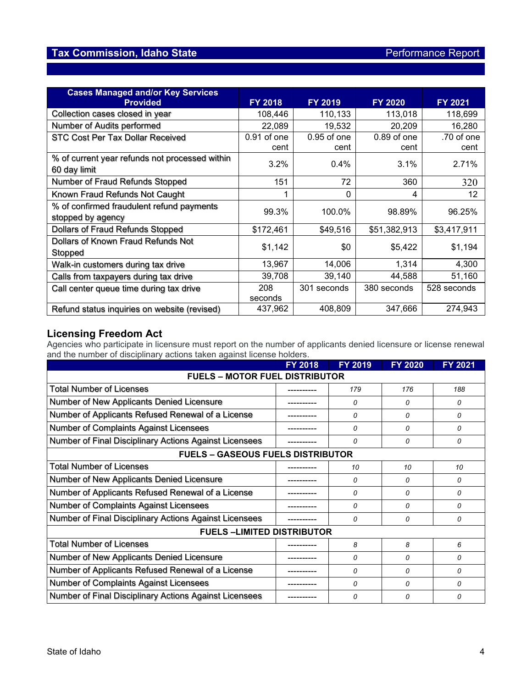# **Tax Commission, Idaho State Performance Report**

| <b>Cases Managed and/or Key Services</b><br><b>Provided</b>    | <b>FY 2018</b> | <b>FY 2019</b> | <b>FY 2020</b> | <b>FY 2021</b> |
|----------------------------------------------------------------|----------------|----------------|----------------|----------------|
| Collection cases closed in year                                | 108,446        | 110,133        | 113,018        | 118,699        |
| Number of Audits performed                                     | 22,089         | 19,532         | 20,209         | 16,280         |
| STC Cost Per Tax Dollar Received                               | $0.91$ of one  | $0.95$ of one  | $0.89$ of one  | .70 of one     |
|                                                                | cent           | cent           | cent           | cent           |
| % of current year refunds not processed within<br>60 day limit | 3.2%           | 0.4%           | 3.1%           | 2.71%          |
| Number of Fraud Refunds Stopped                                | 151            | 72             | 360            | 320            |
| Known Fraud Refunds Not Caught                                 |                | $\mathbf{0}$   | 4              | 12             |
| % of confirmed fraudulent refund payments<br>stopped by agency | 99.3%          | 100.0%         | 98.89%         | 96.25%         |
| Dollars of Fraud Refunds Stopped                               | \$172,461      | \$49,516       | \$51,382,913   | \$3,417,911    |
| Dollars of Known Fraud Refunds Not<br>Stopped                  | \$1,142        | \$0            | \$5,422        | \$1,194        |
| Walk-in customers during tax drive                             | 13,967         | 14,006         | 1,314          | 4,300          |
| Calls from taxpayers during tax drive                          | 39,708         | 39,140         | 44,588         | 51,160         |
| Call center queue time during tax drive                        | 208            | 301 seconds    | 380 seconds    | 528 seconds    |
|                                                                | seconds        |                |                |                |
| Refund status inquiries on website (revised)                   | 437,962        | 408,809        | 347,666        | 274,943        |

## **Licensing Freedom Act**

Agencies who participate in licensure must report on the number of applicants denied licensure or license renewal and the number of disciplinary actions taken against license holders.

|                                                        | <b>FY 2018</b> | <b>FY 2019</b> | <b>FY 2020</b> | FY 2021  |  |  |  |  |
|--------------------------------------------------------|----------------|----------------|----------------|----------|--|--|--|--|
| <b>FUELS - MOTOR FUEL DISTRIBUTOR</b>                  |                |                |                |          |  |  |  |  |
| <b>Total Number of Licenses</b>                        |                | 179            | 176            | 188      |  |  |  |  |
| Number of New Applicants Denied Licensure              |                | 0              | 0              | 0        |  |  |  |  |
| Number of Applicants Refused Renewal of a License      |                | 0              | 0              | 0        |  |  |  |  |
| Number of Complaints Against Licensees                 |                | $\Omega$       | $\Omega$       | $\Omega$ |  |  |  |  |
| Number of Final Disciplinary Actions Against Licensees |                | $\Omega$       | $\Omega$       | 0        |  |  |  |  |
| <b>FUELS - GASEOUS FUELS DISTRIBUTOR</b>               |                |                |                |          |  |  |  |  |
| <b>Total Number of Licenses</b>                        |                | 10             | 10             | 10       |  |  |  |  |
| Number of New Applicants Denied Licensure              |                | 0              | $\Omega$       | 0        |  |  |  |  |
| Number of Applicants Refused Renewal of a License      |                | 0              | 0              | 0        |  |  |  |  |
| Number of Complaints Against Licensees                 |                | $\Omega$       | $\Omega$       | $\Omega$ |  |  |  |  |
| Number of Final Disciplinary Actions Against Licensees |                | $\Omega$       | $\Omega$       | $\Omega$ |  |  |  |  |
| <b>FUELS-LIMITED DISTRIBUTOR</b>                       |                |                |                |          |  |  |  |  |
| <b>Total Number of Licenses</b>                        |                | 8              | 8              | 6        |  |  |  |  |
| Number of New Applicants Denied Licensure              |                | 0              | $\Omega$       | 0        |  |  |  |  |
| Number of Applicants Refused Renewal of a License      |                | 0              | 0              | $\Omega$ |  |  |  |  |
| Number of Complaints Against Licensees                 |                | 0              | 0              | 0        |  |  |  |  |
| Number of Final Disciplinary Actions Against Licensees |                | 0              | $\Omega$       | 0        |  |  |  |  |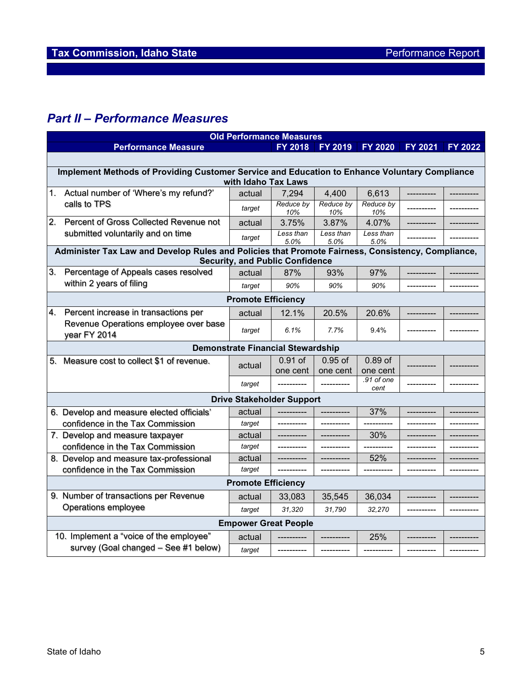# *Part II – Performance Measures*

| <b>Old Performance Measures</b> |                                                                                                   |                           |                                          |                   |                    |                |                |  |
|---------------------------------|---------------------------------------------------------------------------------------------------|---------------------------|------------------------------------------|-------------------|--------------------|----------------|----------------|--|
|                                 | <b>Performance Measure</b>                                                                        |                           | <b>FY 2018</b>                           | <b>FY 2019</b>    | <b>FY 2020</b>     | <b>FY 2021</b> | <b>FY 2022</b> |  |
|                                 |                                                                                                   |                           |                                          |                   |                    |                |                |  |
|                                 | Implement Methods of Providing Customer Service and Education to Enhance Voluntary Compliance     |                           |                                          |                   |                    |                |                |  |
|                                 |                                                                                                   | with Idaho Tax Laws       |                                          |                   |                    |                |                |  |
| 1.                              | Actual number of 'Where's my refund?'                                                             | actual                    | 7,294                                    | 4,400             | 6,613              |                |                |  |
|                                 | calls to TPS                                                                                      | target                    | Reduce by<br>10%                         | Reduce by<br>10%  | Reduce by<br>10%   |                |                |  |
| 2.                              | Percent of Gross Collected Revenue not                                                            | actual                    | 3.75%                                    | 3.87%             | 4.07%              |                |                |  |
|                                 | submitted voluntarily and on time                                                                 | target                    | Less than<br>5.0%                        | Less than<br>5.0% | Less than<br>5.0%  |                |                |  |
|                                 | Administer Tax Law and Develop Rules and Policies that Promote Fairness, Consistency, Compliance, |                           |                                          |                   |                    |                |                |  |
|                                 |                                                                                                   |                           | <b>Security, and Public Confidence</b>   |                   |                    |                |                |  |
| 3.                              | Percentage of Appeals cases resolved                                                              | actual                    | 87%                                      | 93%               | 97%                |                |                |  |
|                                 | within 2 years of filing                                                                          | target                    | 90%                                      | 90%               | 90%                |                |                |  |
|                                 |                                                                                                   | <b>Promote Efficiency</b> |                                          |                   |                    |                |                |  |
| 4.                              | Percent increase in transactions per                                                              | actual                    | 12.1%                                    | 20.5%             | 20.6%              |                |                |  |
|                                 | Revenue Operations employee over base<br>year FY 2014                                             | target                    | 6.1%                                     | 7.7%              | 9.4%               |                |                |  |
|                                 |                                                                                                   |                           | <b>Demonstrate Financial Stewardship</b> |                   |                    |                |                |  |
|                                 | 5. Measure cost to collect \$1 of revenue.                                                        |                           | 0.91 of                                  | $0.95$ of         | $0.89$ of          |                |                |  |
|                                 |                                                                                                   | actual                    | one cent                                 | one cent          | one cent           |                |                |  |
|                                 |                                                                                                   | target                    |                                          | ----------        | .91 of one<br>cent |                |                |  |
|                                 |                                                                                                   |                           | <b>Drive Stakeholder Support</b>         |                   |                    |                |                |  |
|                                 | 6. Develop and measure elected officials'                                                         | actual                    |                                          | ----------        | 37%                |                |                |  |
|                                 | confidence in the Tax Commission                                                                  | target                    |                                          | -----------       |                    |                |                |  |
|                                 | 7. Develop and measure taxpayer                                                                   | actual                    |                                          |                   | 30%                |                |                |  |
|                                 | confidence in the Tax Commission                                                                  | target                    |                                          |                   |                    |                |                |  |
|                                 | 8. Develop and measure tax-professional                                                           | actual                    |                                          |                   | 52%                |                |                |  |
|                                 | confidence in the Tax Commission                                                                  | target                    |                                          |                   |                    |                |                |  |
| <b>Promote Efficiency</b>       |                                                                                                   |                           |                                          |                   |                    |                |                |  |
|                                 | 9. Number of transactions per Revenue                                                             | actual                    | 33,083                                   | 35,545            | 36,034             |                |                |  |
|                                 | Operations employee                                                                               | target                    | 31,320                                   | 31,790            | 32.270             |                |                |  |
|                                 | <b>Empower Great People</b>                                                                       |                           |                                          |                   |                    |                |                |  |
|                                 | 10. Implement a "voice of the employee"                                                           | actual                    |                                          |                   | 25%                |                |                |  |
|                                 | survey (Goal changed - See #1 below)                                                              | target                    | ----------                               | -----------       | ----------         |                |                |  |